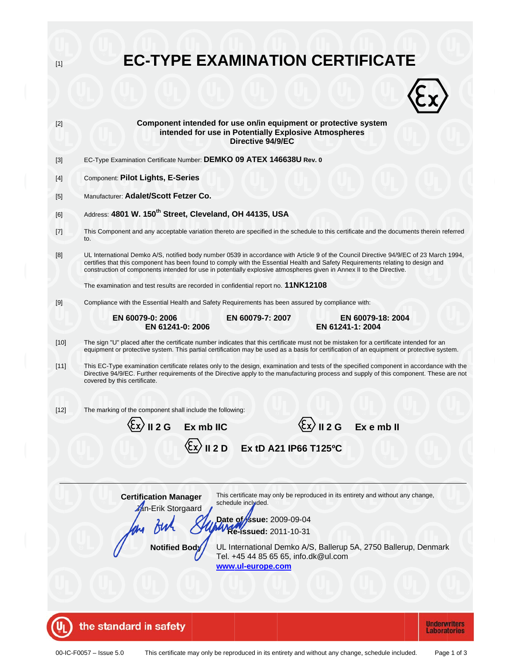| $[1]$                                                                                                                                                      | <b>EC-TYPE EXAMINATION CERTIFICATE</b>                                                                                                                                                                                                                                                                                                                                                           |  |  |  |  |  |
|------------------------------------------------------------------------------------------------------------------------------------------------------------|--------------------------------------------------------------------------------------------------------------------------------------------------------------------------------------------------------------------------------------------------------------------------------------------------------------------------------------------------------------------------------------------------|--|--|--|--|--|
|                                                                                                                                                            |                                                                                                                                                                                                                                                                                                                                                                                                  |  |  |  |  |  |
| $[2]$                                                                                                                                                      | Component intended for use on/in equipment or protective system<br>intended for use in Potentially Explosive Atmospheres<br>Directive 94/9/EC                                                                                                                                                                                                                                                    |  |  |  |  |  |
| $[3]$                                                                                                                                                      | EC-Type Examination Certificate Number: DEMKO 09 ATEX 146638U Rev. 0                                                                                                                                                                                                                                                                                                                             |  |  |  |  |  |
| $[4]$                                                                                                                                                      | Component: Pilot Lights, E-Series                                                                                                                                                                                                                                                                                                                                                                |  |  |  |  |  |
| $[5]$                                                                                                                                                      | Manufacturer: Adalet/Scott Fetzer Co.                                                                                                                                                                                                                                                                                                                                                            |  |  |  |  |  |
| [6]                                                                                                                                                        | Address: 4801 W. 150 <sup>th</sup> Street, Cleveland, OH 44135, USA                                                                                                                                                                                                                                                                                                                              |  |  |  |  |  |
| $[7]$                                                                                                                                                      | This Component and any acceptable variation thereto are specified in the schedule to this certificate and the documents therein referred<br>to.                                                                                                                                                                                                                                                  |  |  |  |  |  |
| [8]                                                                                                                                                        | UL International Demko A/S, notified body number 0539 in accordance with Article 9 of the Council Directive 94/9/EC of 23 March 1994,<br>certifies that this component has been found to comply with the Essential Health and Safety Requirements relating to design and<br>construction of components intended for use in potentially explosive atmospheres given in Annex II to the Directive. |  |  |  |  |  |
|                                                                                                                                                            | The examination and test results are recorded in confidential report no. 11NK12108                                                                                                                                                                                                                                                                                                               |  |  |  |  |  |
| [9]                                                                                                                                                        | Compliance with the Essential Health and Safety Requirements has been assured by compliance with:                                                                                                                                                                                                                                                                                                |  |  |  |  |  |
|                                                                                                                                                            | EN 60079-0: 2006<br>EN 60079-7: 2007<br>EN 60079-18: 2004<br>EN 61241-1: 2004<br>EN 61241-0: 2006                                                                                                                                                                                                                                                                                                |  |  |  |  |  |
| $[10]$                                                                                                                                                     | The sign "U" placed after the certificate number indicates that this certificate must not be mistaken for a certificate intended for an<br>equipment or protective system. This partial certification may be used as a basis for certification of an equipment or protective system.                                                                                                             |  |  |  |  |  |
| $[11]$                                                                                                                                                     | This EC-Type examination certificate relates only to the design, examination and tests of the specified component in accordance with the<br>Directive 94/9/EC. Further requirements of the Directive apply to the manufacturing process and supply of this component. These are not<br>covered by this certificate.                                                                              |  |  |  |  |  |
| $[12]$                                                                                                                                                     | The marking of the component shall include the following:                                                                                                                                                                                                                                                                                                                                        |  |  |  |  |  |
|                                                                                                                                                            | $\langle \xi$ x $\rangle$ II 2 G Exembli<br>II 2 G<br>Ex mb IIC                                                                                                                                                                                                                                                                                                                                  |  |  |  |  |  |
|                                                                                                                                                            |                                                                                                                                                                                                                                                                                                                                                                                                  |  |  |  |  |  |
|                                                                                                                                                            | $\langle \xi x \rangle$ II 2 D<br>Ex tD A21 IP66 T125°C                                                                                                                                                                                                                                                                                                                                          |  |  |  |  |  |
|                                                                                                                                                            |                                                                                                                                                                                                                                                                                                                                                                                                  |  |  |  |  |  |
| This certificate may only be reproduced in its entirety and without any change,<br><b>Certification Manager</b><br>schedule included.<br>An-Erik Storgaard |                                                                                                                                                                                                                                                                                                                                                                                                  |  |  |  |  |  |
| Date of ssue: 2009-09-04<br><b>WRe-issued: 2011-10-31</b>                                                                                                  |                                                                                                                                                                                                                                                                                                                                                                                                  |  |  |  |  |  |
| UL International Demko A/S, Ballerup 5A, 2750 Ballerup, Denmark<br><b>Notified Body</b><br>Tel. +45 44 85 65 65, info.dk@ul.com<br>www.ul-europe.com       |                                                                                                                                                                                                                                                                                                                                                                                                  |  |  |  |  |  |
|                                                                                                                                                            |                                                                                                                                                                                                                                                                                                                                                                                                  |  |  |  |  |  |
|                                                                                                                                                            |                                                                                                                                                                                                                                                                                                                                                                                                  |  |  |  |  |  |
|                                                                                                                                                            | the standard in safety<br><b>Underwriters</b>                                                                                                                                                                                                                                                                                                                                                    |  |  |  |  |  |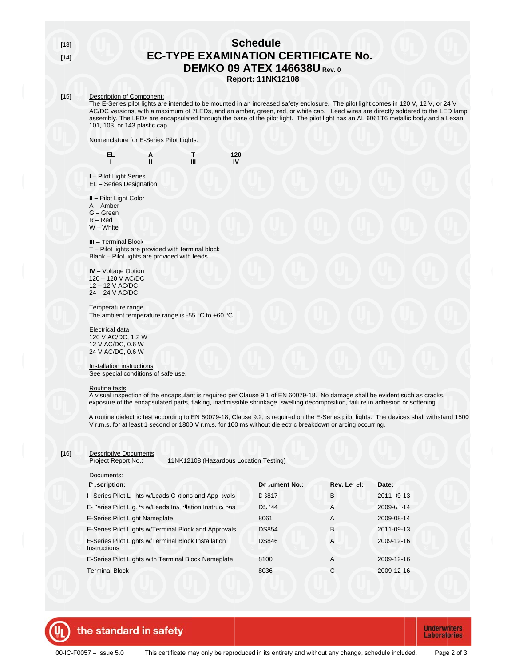$[13]$  $[14]$ 

# **Schedule EC-TYPE EXAMINATION CERTIFICATE No. DEMKO 09 ATEX 146638U Rev. 0**

### **Report: 11NK12108**

 $\frac{120}{N}$ 

#### $[15]$ **Description of Component:**

The E-Series pilot lights are intended to be mounted in an increased safety enclosure. The pilot light comes in 120 V, 12 V, or 24 V AC/DC versions, with a maximum of 7LEDs, and an amber, green, red, or white cap. Lead wires are directly soldered to the LED lamp assembly. The LEDs are encapsulated through the base of the pilot light. The pilot light has 101, 103, or 143 plastic cap.

Nomenclature for E-Series Pilot Lights:

 $\frac{A}{II}$ 蓝

I - Pilot Light Series EL - Series Designation

II - Pilot Light Color

뜨

 $\overline{1}$ 

 $A -$ Amber

 $G - Green$ 

 $R - Red$ 

 $W - White$ 

**III** - Terminal Block T - Pilot lights are provided with terminal block Blank - Pilot lights are provided with leads

**IV** - Voltage Option 120 - 120 V AC/DC 12 - 12 V AC/DC 24 - 24 V AC/DC

#### Temperature range The ambient temperature range is -55  $\degree$ C to +60  $\degree$ C.

#### **Electrical data**

120 V AC/DC, 1.2 W 12 V AC/DC, 0.6 W 24 V AC/DC, 0.6 W

**Installation instructions** See special conditions of safe use.

#### Routine tests

A visual inspection of the encapsulant is required per Clause 9.1 of EN 60079-18. No damage shall be evident such as cracks, exposure of the encapsulated parts, flaking, inadmissible shrinkage, swelling decomposition, failure in adhesion or softening.

A routine dielectric test according to EN 60079-18, Clause 9.2, is required on the E-Series pilot lights. The devices shall withstand 1500 V r.m.s. for at least 1 second or 1800 V r.m.s. for 100 ms without dielectric breakdown or arcing occurring.

| $[16]$ | <b>Descriptive Documents</b><br>11NK12108 (Hazardous Location Testing)<br>Project Report No.: |               |             |            |  |
|--------|-----------------------------------------------------------------------------------------------|---------------|-------------|------------|--|
|        | Documents:                                                                                    |               |             |            |  |
|        | P ⊿scription:                                                                                 | Dr.ument No.: | Rev. Le el: | Date:      |  |
|        | -Series Pilot Li ihts w/Leads C itions and App by als                                         | L 3817        | B           | 2011 09-13 |  |
|        | E- Peries Pilot Lig. 's w/Leads Ins. Illation Instructions                                    | DS '44        | A           | 2009-02-14 |  |
|        | E-Series Pilot Light Nameplate                                                                | 8061          | A           | 2009-08-14 |  |
|        | E-Series Pilot Lights w/Terminal Block and Approvals                                          | <b>DS854</b>  | B           | 2011-09-13 |  |
|        | E-Series Pilot Lights w/Terminal Block Installation<br>Instructions                           | <b>DS846</b>  | A           | 2009-12-16 |  |
|        | E-Series Pilot Lights with Terminal Block Nameplate                                           | 8100          | A           | 2009-12-16 |  |
|        | <b>Terminal Block</b>                                                                         | 8036          | С           | 2009-12-16 |  |



**Underwriters Laboratories**